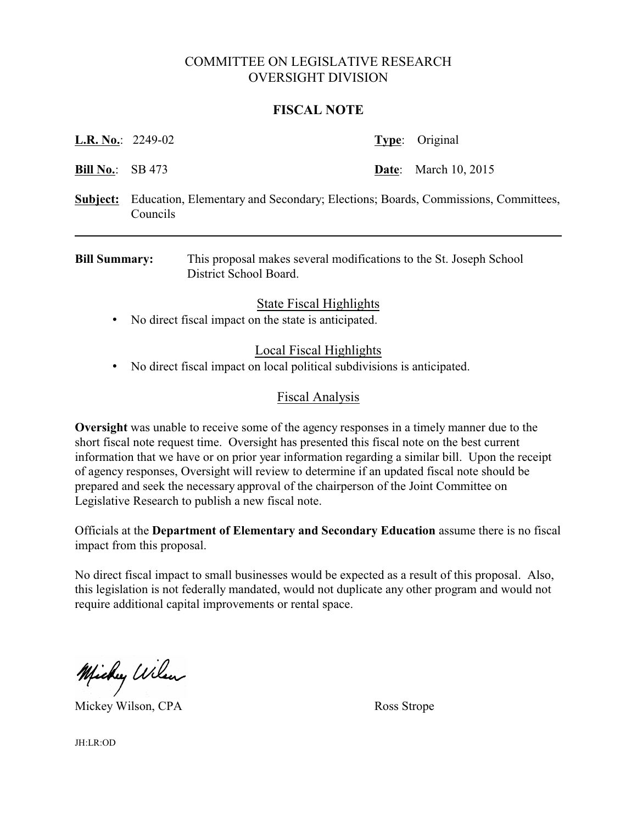# COMMITTEE ON LEGISLATIVE RESEARCH OVERSIGHT DIVISION

#### **FISCAL NOTE**

| <b>L.R. No.:</b> 2249-02 |                                                                                              | <b>Type:</b> Original       |
|--------------------------|----------------------------------------------------------------------------------------------|-----------------------------|
| <b>Bill No.:</b> SB 473  |                                                                                              | <b>Date:</b> March 10, 2015 |
| Subject:                 | Education, Elementary and Secondary; Elections; Boards, Commissions, Committees,<br>Councils |                             |
|                          |                                                                                              |                             |

**Bill Summary:** This proposal makes several modifications to the St. Joseph School District School Board.

# State Fiscal Highlights

• No direct fiscal impact on the state is anticipated.

# Local Fiscal Highlights

• No direct fiscal impact on local political subdivisions is anticipated.

#### Fiscal Analysis

**Oversight** was unable to receive some of the agency responses in a timely manner due to the short fiscal note request time. Oversight has presented this fiscal note on the best current information that we have or on prior year information regarding a similar bill. Upon the receipt of agency responses, Oversight will review to determine if an updated fiscal note should be prepared and seek the necessary approval of the chairperson of the Joint Committee on Legislative Research to publish a new fiscal note.

Officials at the **Department of Elementary and Secondary Education** assume there is no fiscal impact from this proposal.

No direct fiscal impact to small businesses would be expected as a result of this proposal. Also, this legislation is not federally mandated, would not duplicate any other program and would not require additional capital improvements or rental space.

Michy Wilson

Mickey Wilson, CPA Ross Strope

JH:LR:OD